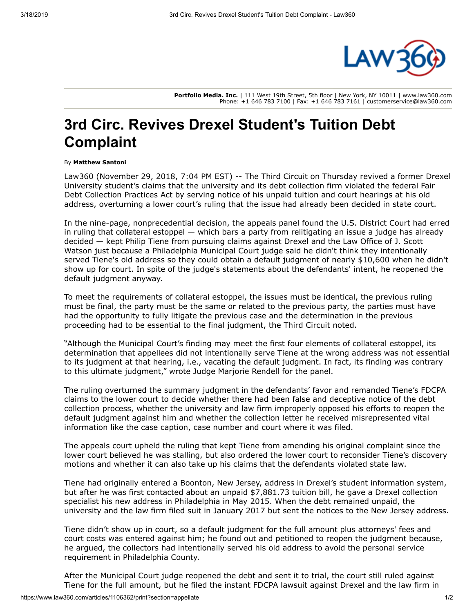

**Portfolio Media. Inc.** | 111 West 19th Street, 5th floor | New York, NY 10011 | www.law360.com Phone: +1 646 783 7100 | Fax: +1 646 783 7161 | customerservice@law360.com

## **3rd Circ. Revives Drexel Student's Tuition Debt Complaint**

## By **Matthew Santoni**

[Law360 \(November 29, 2018, 7:04 PM EST\) -- The Third Circuit on Thursday revived a former Drexel](https://www.law360.com/companies/drexel-university) University student's claims that the university and its debt collection firm violated the federal Fair Debt Collection Practices Act by serving notice of his unpaid tuition and court hearings at his old address, overturning a lower court's ruling that the issue had already been decided in state court.

In the nine-page, nonprecedential decision, the appeals panel found the U.S. District Court had erred in ruling that collateral estoppel — which bars a party from relitigating an issue a judge has already decided — kept Philip Tiene from pursuing claims against Drexel and the Law Office of J. Scott Watson just because a Philadelphia Municipal Court judge said he didn't think they intentionally served Tiene's old address so they could obtain a default judgment of nearly \$10,600 when he didn't show up for court. In spite of the judge's statements about the defendants' intent, he reopened the default judgment anyway.

To meet the requirements of collateral estoppel, the issues must be identical, the previous ruling must be final, the party must be the same or related to the previous party, the parties must have had the opportunity to fully litigate the previous case and the determination in the previous proceeding had to be essential to the final judgment, the Third Circuit noted.

"Although the Municipal Court's finding may meet the first four elements of collateral estoppel, its determination that appellees did not intentionally serve Tiene at the wrong address was not essential to its judgment at that hearing, i.e., vacating the default judgment. In fact, its finding was contrary to this ultimate judgment," wrote Judge Marjorie Rendell for the panel.

The ruling overturned the summary judgment in the defendants' favor and remanded Tiene's FDCPA claims to the lower court to decide whether there had been false and deceptive notice of the debt collection process, whether the university and law firm improperly opposed his efforts to reopen the default judgment against him and whether the collection letter he received misrepresented vital information like the case caption, case number and court where it was filed.

The appeals court upheld the ruling that kept Tiene from amending his original complaint since the lower court believed he was stalling, but also ordered the lower court to reconsider Tiene's discovery motions and whether it can also take up his claims that the defendants violated state law.

Tiene had originally entered a Boonton, New Jersey, address in Drexel's student information system, but after he was first contacted about an unpaid \$7,881.73 tuition bill, he gave a Drexel collection specialist his new address in Philadelphia in May 2015. When the debt remained unpaid, the university and the law firm filed suit in January 2017 but sent the notices to the New Jersey address.

Tiene didn't show up in court, so a default judgment for the full amount plus attorneys' fees and court costs was entered against him; he found out and petitioned to reopen the judgment because, he argued, the collectors had intentionally served his old address to avoid the personal service requirement in Philadelphia County.

After the Municipal Court judge reopened the debt and sent it to trial, the court still ruled against Tiene for the full amount, but he filed the instant FDCPA lawsuit against Drexel and the law firm in